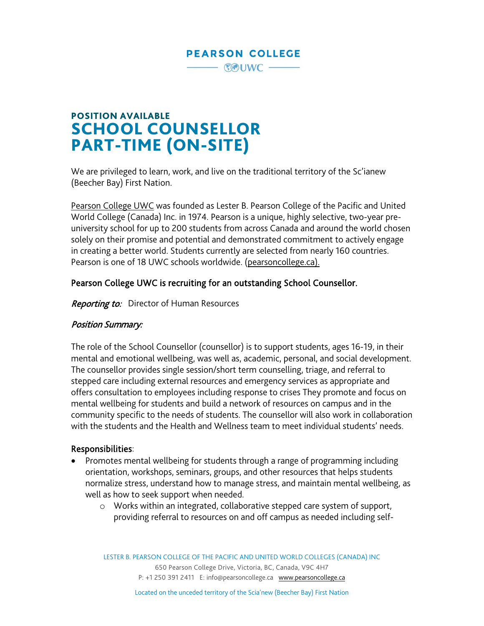## **PEARSON COLLEGE**

**EOUWC-**

POSITION AVAILABLE SCHOOL COUNSELLOR PART-TIME (ON-SITE)

We are privileged to learn, work, and live on the traditional territory of the Sc'ianew (Beecher Bay) First Nation.

[Pearson](https://www.pearsoncollege.ca/) College UWC was founded as Lester B. Pearson College of the Pacific and United World College (Canada) Inc. in 1974. Pearson is a unique, highly selective, two-year preuniversity school for up to 200 students from across Canada and around the world chosen solely on their promise and potential and demonstrated commitment to actively engage in creating a better world. Students currently are selected from nearly 160 countries. Pearson is one of 18 UWC schools worldwide. [\(pearsoncollege.ca\)](http://www.pearsoncollege.ca/).

#### Pearson College UWC is recruiting for an outstanding School Counsellor.

**Reporting to:** Director of Human Resources

#### Position Summary:

The role of the School Counsellor (counsellor) is to support students, ages 16-19, in their mental and emotional wellbeing, was well as, academic, personal, and social development. The counsellor provides single session/short term counselling, triage, and referral to stepped care including external resources and emergency services as appropriate and offers consultation to employees including response to crises They promote and focus on mental wellbeing for students and build a network of resources on campus and in the community specific to the needs of students. The counsellor will also work in collaboration with the students and the Health and Wellness team to meet individual students' needs.

#### Responsibilities:

- Promotes mental wellbeing for students through a range of programming including orientation, workshops, seminars, groups, and other resources that helps students normalize stress, understand how to manage stress, and maintain mental wellbeing, as well as how to seek support when needed.
	- o Works within an integrated, collaborative stepped care system of support, providing referral to resources on and off campus as needed including self-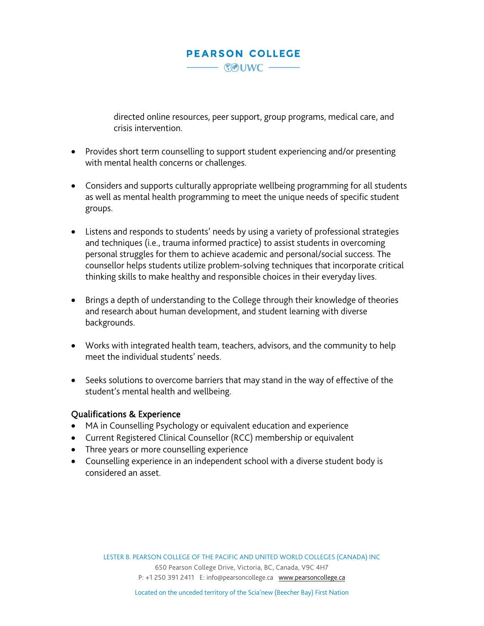# - COUWC -

**PEARSON COLLEGE** 

directed online resources, peer support, group programs, medical care, and crisis intervention.

- Provides short term counselling to support student experiencing and/or presenting with mental health concerns or challenges.
- Considers and supports culturally appropriate wellbeing programming for all students as well as mental health programming to meet the unique needs of specific student groups.
- Listens and responds to students' needs by using a variety of professional strategies and techniques (i.e., trauma informed practice) to assist students in overcoming personal struggles for them to achieve academic and personal/social success. The counsellor helps students utilize problem-solving techniques that incorporate critical thinking skills to make healthy and responsible choices in their everyday lives.
- Brings a depth of understanding to the College through their knowledge of theories and research about human development, and student learning with diverse backgrounds.
- Works with integrated health team, teachers, advisors, and the community to help meet the individual students' needs.
- Seeks solutions to overcome barriers that may stand in the way of effective of the student's mental health and wellbeing.

### Qualifications & Experience

- MA in Counselling Psychology or equivalent education and experience
- Current Registered Clinical Counsellor (RCC) membership or equivalent
- Three years or more counselling experience
- Counselling experience in an independent school with a diverse student body is considered an asset.